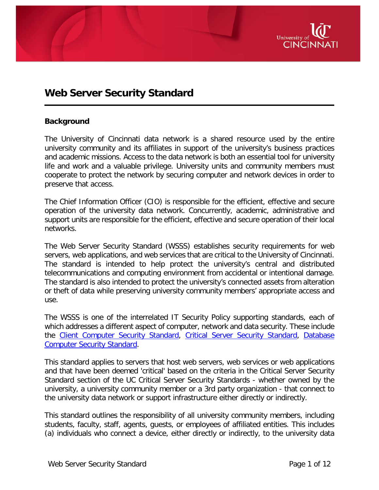

# **Web Server Security Standard**

#### **Background**

The University of Cincinnati data network is a shared resource used by the entire university community and its affiliates in support of the university's business practices and academic missions. Access to the data network is both an essential tool for university life and work and a valuable privilege. University units and community members must cooperate to protect the network by securing computer and network devices in order to preserve that access.

The Chief Information Officer (CIO) is responsible for the efficient, effective and secure operation of the university data network. Concurrently, academic, administrative and support units are responsible for the efficient, effective and secure operation of their local networks.

The Web Server Security Standard (WSSS) establishes security requirements for web servers, web applications, and web services that are critical to the University of Cincinnati. The standard is intended to help protect the university's central and distributed telecommunications and computing environment from accidental or intentional damage. The standard is also intended to protect the university's connected assets from alteration or theft of data while preserving university community members' appropriate access and use.

The WSSS is one of the interrelated IT Security Policy supporting standards, each of which addresses a different aspect of computer, network and data security. These include the [Client Computer Security Standard,](http://www.uc.edu/content/dam/uc/infosec/docs/Standards/Client_Computing_Security_Standard_9.1.1.pdf) [Critical Server Security Standard,](http://www.uc.edu/content/dam/uc/infosec/docs/Standards/Critical_Server_Security_Standard_9.1.2.pdf) Database [Computer Security Standard.](http://www.uc.edu/content/dam/uc/infosec/docs/Standards/Database_Server_Security_Standard_9.1.3.pdf)

This standard applies to servers that host web servers, web services or web applications and that have been deemed 'critical' based on the criteria in the Critical Server Security Standard section of the UC Critical Server Security Standards - whether owned by the university, a university community member or a 3rd party organization - that connect to the university data network or support infrastructure either directly or indirectly.

This standard outlines the responsibility of all university community members, including students, faculty, staff, agents, guests, or employees of affiliated entities. This includes (a) individuals who connect a device, either directly or indirectly, to the university data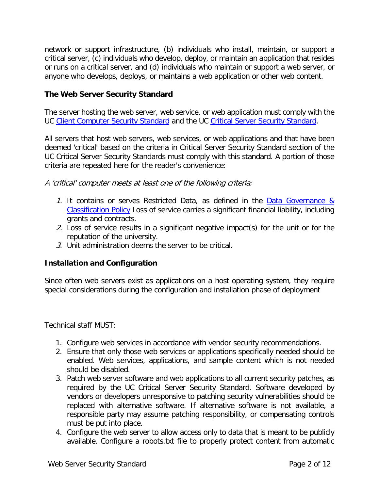network or support infrastructure, (b) individuals who install, maintain, or support a critical server, (c) individuals who develop, deploy, or maintain an application that resides or runs on a critical server, and (d) individuals who maintain or support a web server, or anyone who develops, deploys, or maintains a web application or other web content.

### **The Web Server Security Standard**

The server hosting the web server, web service, or web application must comply with the UC [Client Computer Security Standard](http://www.uc.edu/content/dam/uc/infosec/docs/Standards/Client_Computing_Security_Standard_9.1.1.pdf) and the UC [Critical Server Security Standard.](http://www.uc.edu/content/dam/uc/infosec/docs/Standards/Critical_Server_Security_Standard_9.1.2.pdf)

All servers that host web servers, web services, or web applications and that have been deemed 'critical' based on the criteria in Critical Server Security Standard section of the UC Critical Server Security Standards must comply with this standard. A portion of those criteria are repeated here for the reader's convenience:

A 'critical' computer meets at least one of the following criteria:

- 1. It contains or serves Restricted Data, as defined in the [Data Governance &](https://www.uc.edu/content/dam/uc/infosec/docs/policies/Data_Governance_and_Classification_Policy_9.1.1.pdf)  [Classification Policy](https://www.uc.edu/content/dam/uc/infosec/docs/policies/Data_Governance_and_Classification_Policy_9.1.1.pdf) Loss of service carries a significant financial liability, including grants and contracts.
- 2. Loss of service results in a significant negative impact(s) for the unit or for the reputation of the university.
- 3. Unit administration deems the server to be critical.

#### **Installation and Configuration**

Since often web servers exist as applications on a host operating system, they require special considerations during the configuration and installation phase of deployment

Technical staff MUST:

- 1. Configure web services in accordance with vendor security recommendations.
- 2. Ensure that only those web services or applications specifically needed should be enabled. Web services, applications, and sample content which is not needed should be disabled.
- 3. Patch web server software and web applications to all current security patches, as required by the UC Critical Server Security Standard. Software developed by vendors or developers unresponsive to patching security vulnerabilities should be replaced with alternative software. If alternative software is not available, a responsible party may assume patching responsibility, or compensating controls must be put into place.
- 4. Configure the web server to allow access only to data that is meant to be publicly available. Configure a robots.txt file to properly protect content from automatic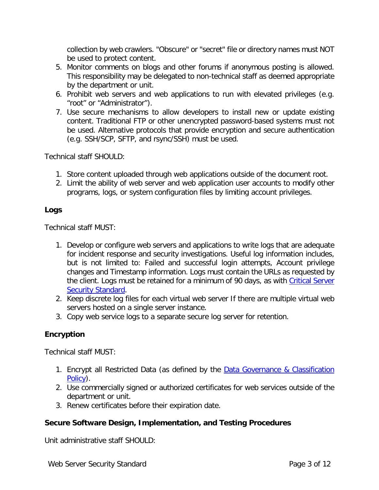collection by web crawlers. "Obscure" or "secret" file or directory names must NOT be used to protect content.

- 5. Monitor comments on blogs and other forums if anonymous posting is allowed. This responsibility may be delegated to non-technical staff as deemed appropriate by the department or unit.
- 6. Prohibit web servers and web applications to run with elevated privileges (e.g. "root" or "Administrator").
- 7. Use secure mechanisms to allow developers to install new or update existing content. Traditional FTP or other unencrypted password-based systems must not be used. Alternative protocols that provide encryption and secure authentication (e.g. SSH/SCP, SFTP, and rsync/SSH) must be used.

Technical staff SHOULD:

- 1. Store content uploaded through web applications outside of the document root.
- 2. Limit the ability of web server and web application user accounts to modify other programs, logs, or system configuration files by limiting account privileges.

## **Logs**

Technical staff MUST:

- 1. Develop or configure web servers and applications to write logs that are adequate for incident response and security investigations. Useful log information includes, but is not limited to: Failed and successful login attempts, Account privilege changes and Timestamp information. Logs must contain the URLs as requested by the client. Logs must be retained for a minimum of 90 days, as with Critical Server [Security Standard.](http://www.uc.edu/content/dam/uc/infosec/docs/Standards/Critical_Server_Security_Standard_9.1.2.pdf)
- 2. Keep discrete log files for each virtual web server If there are multiple virtual web servers hosted on a single server instance.
- 3. Copy web service logs to a separate secure log server for retention.

## **Encryption**

Technical staff MUST:

- 1. Encrypt all Restricted Data (as defined by the **Data Governance & Classification** [Policy\)](https://www.uc.edu/content/dam/uc/infosec/docs/policies/Data_Governance_and_Classification_Policy_9.1.1.pdf).
- 2. Use commercially signed or authorized certificates for web services outside of the department or unit.
- 3. Renew certificates before their expiration date.

## **Secure Software Design, Implementation, and Testing Procedures**

Unit administrative staff SHOULD: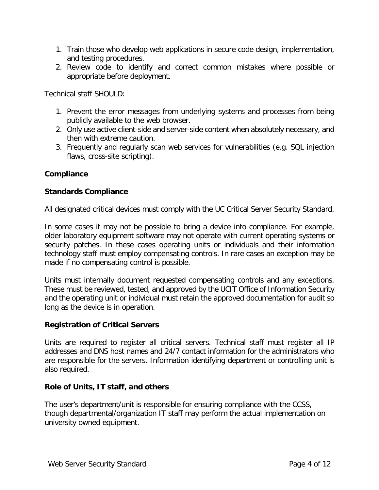- 1. Train those who develop web applications in secure code design, implementation, and testing procedures.
- 2. Review code to identify and correct common mistakes where possible or appropriate before deployment.

Technical staff SHOULD:

- 1. Prevent the error messages from underlying systems and processes from being publicly available to the web browser.
- 2. Only use active client-side and server-side content when absolutely necessary, and then with extreme caution.
- 3. Frequently and regularly scan web services for vulnerabilities (e.g. SQL injection flaws, cross-site scripting).

### **Compliance**

### **Standards Compliance**

All designated critical devices must comply with the UC Critical Server Security Standard.

In some cases it may not be possible to bring a device into compliance. For example, older laboratory equipment software may not operate with current operating systems or security patches. In these cases operating units or individuals and their information technology staff must employ compensating controls. In rare cases an exception may be made if no compensating control is possible.

Units must internally document requested compensating controls and any exceptions. These must be reviewed, tested, and approved by the UCIT Office of Information Security and the operating unit or individual must retain the approved documentation for audit so long as the device is in operation.

#### **Registration of Critical Servers**

Units are required to register all critical servers. Technical staff must register all IP addresses and DNS host names and 24/7 contact information for the administrators who are responsible for the servers. Information identifying department or controlling unit is also required.

#### **Role of Units, IT staff, and others**

The user's department/unit is responsible for ensuring compliance with the CCSS, though departmental/organization IT staff may perform the actual implementation on university owned equipment.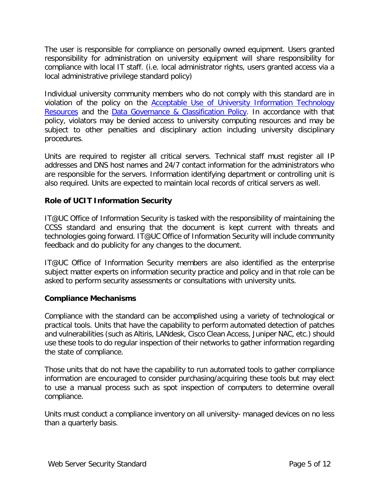The user is responsible for compliance on personally owned equipment. Users granted responsibility for administration on university equipment will share responsibility for compliance with local IT staff. (i.e. local administrator rights, users granted access via a local administrative privilege standard policy)

Individual university community members who do not comply with this standard are in violation of the policy on the [Acceptable Use of University Information Technology](https://www.uc.edu/content/dam/uc/infosec/docs/policies/Acceptable_Use_of_University_Information_Technology_Resources_9.1.3.pdf)  [Resources](https://www.uc.edu/content/dam/uc/infosec/docs/policies/Acceptable_Use_of_University_Information_Technology_Resources_9.1.3.pdf) and the [Data Governance & Classification Policy.](https://www.uc.edu/content/dam/uc/infosec/docs/policies/Data_Governance_and_Classification_Policy_9.1.1.pdf) In accordance with that policy, violators may be denied access to university computing resources and may be subject to other penalties and disciplinary action including university disciplinary procedures.

Units are required to register all critical servers. Technical staff must register all IP addresses and DNS host names and 24/7 contact information for the administrators who are responsible for the servers. Information identifying department or controlling unit is also required. Units are expected to maintain local records of critical servers as well.

## **Role of UCIT Information Security**

IT@UC Office of Information Security is tasked with the responsibility of maintaining the CCSS standard and ensuring that the document is kept current with threats and technologies going forward. IT@UC Office of Information Security will include community feedback and do publicity for any changes to the document.

IT@UC Office of Information Security members are also identified as the enterprise subject matter experts on information security practice and policy and in that role can be asked to perform security assessments or consultations with university units.

### **Compliance Mechanisms**

Compliance with the standard can be accomplished using a variety of technological or practical tools. Units that have the capability to perform automated detection of patches and vulnerabilities (such as Altiris, LANdesk, Cisco Clean Access, Juniper NAC, etc.) should use these tools to do regular inspection of their networks to gather information regarding the state of compliance.

Those units that do not have the capability to run automated tools to gather compliance information are encouraged to consider purchasing/acquiring these tools but may elect to use a manual process such as spot inspection of computers to determine overall compliance.

Units must conduct a compliance inventory on all university- managed devices on no less than a quarterly basis.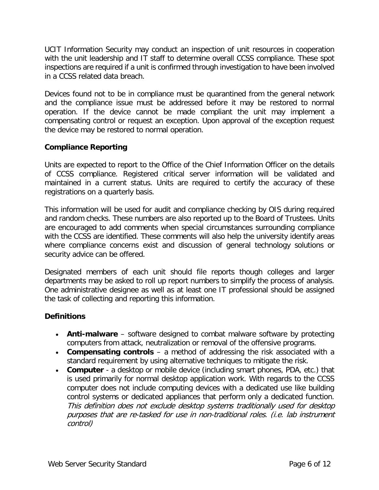UCIT Information Security may conduct an inspection of unit resources in cooperation with the unit leadership and IT staff to determine overall CCSS compliance. These spot inspections are required if a unit is confirmed through investigation to have been involved in a CCSS related data breach.

Devices found not to be in compliance must be quarantined from the general network and the compliance issue must be addressed before it may be restored to normal operation. If the device cannot be made compliant the unit may implement a compensating control or request an exception. Upon approval of the exception request the device may be restored to normal operation.

### **Compliance Reporting**

Units are expected to report to the Office of the Chief Information Officer on the details of CCSS compliance. Registered critical server information will be validated and maintained in a current status. Units are required to certify the accuracy of these registrations on a quarterly basis.

This information will be used for audit and compliance checking by OIS during required and random checks. These numbers are also reported up to the Board of Trustees. Units are encouraged to add comments when special circumstances surrounding compliance with the CCSS are identified. These comments will also help the university identify areas where compliance concerns exist and discussion of general technology solutions or security advice can be offered.

Designated members of each unit should file reports though colleges and larger departments may be asked to roll up report numbers to simplify the process of analysis. One administrative designee as well as at least one IT professional should be assigned the task of collecting and reporting this information.

### **Definitions**

- **Anti-malware** software designed to combat malware software by protecting computers from attack, neutralization or removal of the offensive programs.
- **Compensating controls** a method of addressing the risk associated with a standard requirement by using alternative techniques to mitigate the risk.
- **Computer** a desktop or mobile device (including smart phones, PDA, etc.) that is used primarily for normal desktop application work. With regards to the CCSS computer does not include computing devices with a dedicated use like building control systems or dedicated appliances that perform only a dedicated function. This definition does not exclude desktop systems traditionally used for desktop purposes that are re-tasked for use in non-traditional roles. (i.e. lab instrument control)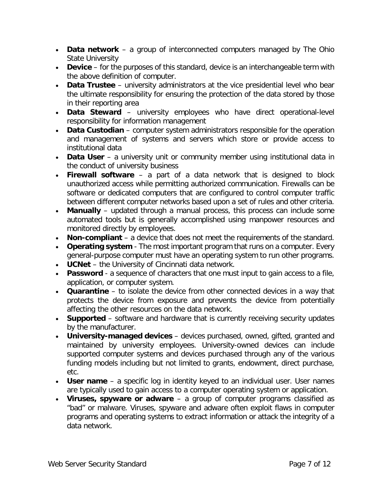- **Data network** a group of interconnected computers managed by The Ohio State University
- **Device** for the purposes of this standard, device is an interchangeable term with the above definition of computer.
- **Data Trustee** university administrators at the vice presidential level who bear the ultimate responsibility for ensuring the protection of the data stored by those in their reporting area
- **Data Steward** university employees who have direct operational-level responsibility for information management
- **Data Custodian** computer system administrators responsible for the operation and management of systems and servers which store or provide access to institutional data
- **Data User** a university unit or community member using institutional data in the conduct of university business
- **Firewall software** a part of a data network that is designed to block unauthorized access while permitting authorized communication. Firewalls can be software or dedicated computers that are configured to control computer traffic between different computer networks based upon a set of rules and other criteria.
- **Manually** updated through a manual process, this process can include some automated tools but is generally accomplished using manpower resources and monitored directly by employees.
- **Non-compliant** a device that does not meet the requirements of the standard.
- **Operating system** The most important program that runs on a computer. Every general-purpose computer must have an operating system to run other programs.
- **UCNet** the University of Cincinnati data network.
- **Password** a sequence of characters that one must input to gain access to a file, application, or computer system.
- **Quarantine** to isolate the device from other connected devices in a way that protects the device from exposure and prevents the device from potentially affecting the other resources on the data network.
- **Supported** software and hardware that is currently receiving security updates by the manufacturer.
- **University-managed devices** devices purchased, owned, gifted, granted and maintained by university employees. University-owned devices can include supported computer systems and devices purchased through any of the various funding models including but not limited to grants, endowment, direct purchase, etc.
- **User name** a specific log in identity keyed to an individual user. User names are typically used to gain access to a computer operating system or application.
- **Viruses, spyware or adware** a group of computer programs classified as "bad" or malware. Viruses, spyware and adware often exploit flaws in computer programs and operating systems to extract information or attack the integrity of a data network.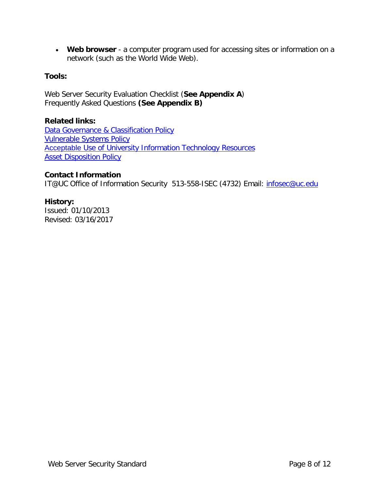• **Web browser** - a computer program used for accessing sites or information on a network (such as the World Wide Web).

### **Tools:**

Web Server Security Evaluation Checklist (**See Appendix A**) Frequently Asked Questions **(See Appendix B)**

### **Related links:**

[Data Governance & Classification Policy](https://www.uc.edu/content/dam/uc/infosec/docs/policies/Data_Governance_and_Classification_Policy_9.1.1.pdf) [Vulnerable Systems Policy](https://www.uc.edu/content/dam/uc/infosec/docs/policies/Vulnerable_Electronic_Systems_Policy_9_1_2.pdf) Acceptable [Use of University Information Technology](https://www.uc.edu/content/dam/uc/infosec/docs/policies/Acceptable_Use_of_University_Information_Technology_Resources_9.1.3.pdf) Resources **[Asset Disposition Policy](http://www.uc.edu/content/dam/uc/af/financialpolicies/Docs/assetdisp_pol.pdf)** 

### **Contact Information**

IT@UC Office of Information Security 513-558-ISEC (4732) Email: *infosec@uc.edu* 

## **History:**

Issued: 01/10/2013 Revised: 03/16/2017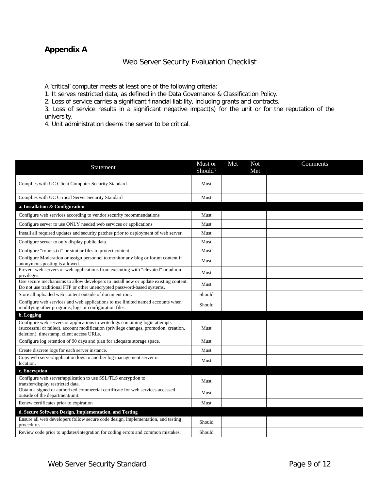## **Appendix A**

### Web Server Security Evaluation Checklist

A 'critical' computer meets at least one of the following criteria:

1. It serves restricted data, as defined in the Data Governance & Classification Policy.

2. Loss of service carries a significant financial liability, including grants and contracts.

3. Loss of service results in a significant negative impact(s) for the unit or for the reputation of the university.

4. Unit administration deems the server to be critical.

| Statement                                                                                                                                                                                                           | Must or<br>Should? | Met | <b>Not</b><br>Met | Comments |
|---------------------------------------------------------------------------------------------------------------------------------------------------------------------------------------------------------------------|--------------------|-----|-------------------|----------|
| Complies with UC Client Computer Security Standard                                                                                                                                                                  | Must               |     |                   |          |
| Complies with UC Critical Server Security Standard                                                                                                                                                                  | Must               |     |                   |          |
| a. Installation & Configuration                                                                                                                                                                                     |                    |     |                   |          |
| Configure web services according to vendor security recommendations                                                                                                                                                 | Must               |     |                   |          |
| Configure server to use ONLY needed web services or applications                                                                                                                                                    | Must               |     |                   |          |
| Install all required updates and security patches prior to deployment of web server.                                                                                                                                | Must               |     |                   |          |
| Configure server to only display public data.                                                                                                                                                                       | Must               |     |                   |          |
| Configure "robots.txt" or similar files to protect content.                                                                                                                                                         | Must               |     |                   |          |
| Configure Moderation or assign personnel to monitor any blog or forum content if<br>anonymous posting is allowed.                                                                                                   | Must               |     |                   |          |
| Prevent web servers or web applications from executing with "elevated" or admin<br>privileges.                                                                                                                      | Must               |     |                   |          |
| Use secure mechanisms to allow developers to install new or update existing content.<br>Do not use traditional FTP or other unencrypted password-based systems.                                                     | Must               |     |                   |          |
| Store all uploaded web content outside of document root.                                                                                                                                                            | Should             |     |                   |          |
| Configure web services and web applications to use limited named accounts when<br>modifying other programs, logs or configuration files.                                                                            | Should             |     |                   |          |
| b. Logging                                                                                                                                                                                                          |                    |     |                   |          |
| Configure web servers or applications to write logs containing login attempts<br>(successful or failed), account modification (privilege changes, promotion, creation,<br>deletion), timestamp, client access URLs. | Must               |     |                   |          |
| Configure log retention of 90 days and plan for adequate storage space.                                                                                                                                             | Must               |     |                   |          |
| Create discrete logs for each server instance.                                                                                                                                                                      | Must               |     |                   |          |
| Copy web server/application logs to another log management server or<br>location.                                                                                                                                   | Must               |     |                   |          |
| c. Encryption                                                                                                                                                                                                       |                    |     |                   |          |
| Configure web server/application to use SSL/TLS encryption to<br>transfer/display restricted data.                                                                                                                  | Must               |     |                   |          |
| Obtain a signed or authorized commercial certificate for web services accessed<br>outside of the department/unit.                                                                                                   | Must               |     |                   |          |
| Renew certificates prior to expiration                                                                                                                                                                              | Must               |     |                   |          |
| d. Secure Software Design, Implementation, and Testing                                                                                                                                                              |                    |     |                   |          |
| Ensure all web developers follow secure code design, implementation, and testing<br>procedures.                                                                                                                     | Should             |     |                   |          |
| Review code prior to updates/integration for coding errors and common mistakes.                                                                                                                                     | Should             |     |                   |          |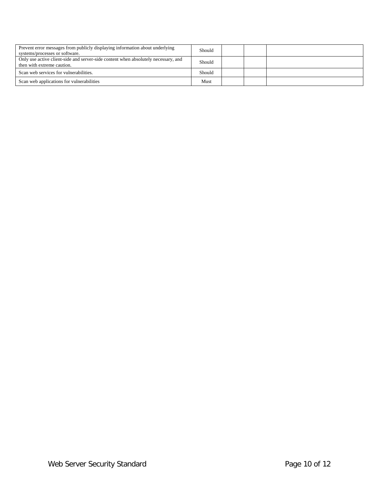| Prevent error messages from publicly displaying information about underlying<br>systems/processes or software.   | Should |  |  |
|------------------------------------------------------------------------------------------------------------------|--------|--|--|
| Only use active client-side and server-side content when absolutely necessary, and<br>then with extreme caution. | Should |  |  |
| Scan web services for vulnerabilities.                                                                           | Should |  |  |
| Scan web applications for vulnerabilities                                                                        | Must   |  |  |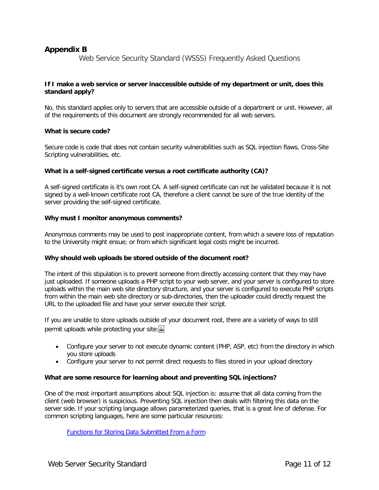### **Appendix B**

Web Service Security Standard (WSSS) Frequently Asked Questions

#### **If I make a web service or server inaccessible outside of my department or unit, does this standard apply?**

No, this standard applies only to servers that are accessible outside of a department or unit. However, all of the requirements of this document are strongly recommended for all web servers.

#### **What is secure code?**

Secure code is code that does not contain security vulnerabilities such as SQL injection flaws, Cross-Site Scripting vulnerabilities, etc.

#### **What is a self-signed certificate versus a root certificate authority (CA)?**

A self-signed certificate is it's own root CA. A self-signed certificate can not be validated because it is not signed by a well-known certificate root CA, therefore a client cannot be sure of the true identity of the server providing the self-signed certificate.

#### **Why must I monitor anonymous comments?**

Anonymous comments may be used to post inappropriate content, from which a severe loss of reputation to the University might ensue; or from which significant legal costs might be incurred.

#### **Why should web uploads be stored outside of the document root?**

The intent of this stipulation is to prevent someone from directly accessing content that they may have just uploaded. If someone uploads a PHP script to your web server, and your server is configured to store uploads within the main web site directory structure, and your server is configured to execute PHP scripts from within the main web site directory or sub-directories, then the uploader could directly request the URL to the uploaded file and have your server execute their script.

If you are unable to store uploads outside of your document root, there are a variety of ways to still permit uploads while protecting your site:

- Configure your server to not execute dynamic content (PHP, ASP, etc) from the directory in which you store uploads
- Configure your server to not permit direct requests to files stored in your upload directory

#### **What are some resource for learning about and preventing SQL injections?**

One of the most important assumptions about SQL injection is: assume that all data coming from the client (web browser) is suspicious. Preventing SQL injection then deals with filtering this data on the server side. If your scripting language allows parameterized queries, that is a great line of defense. For common scripting languages, here are some particular resources:

[Functions for Storing Data Submitted From a Form](http://www.nyphp.org/phundamentals/storingretrieving.php)